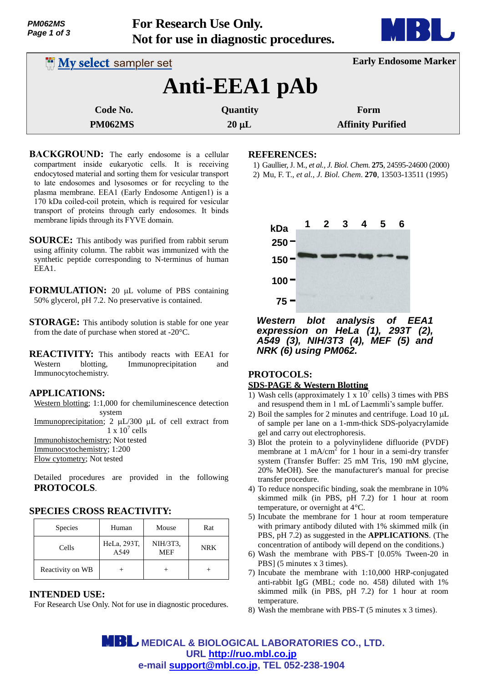| <i><b>PM062MS</b></i> |  |  |  |  |  |
|-----------------------|--|--|--|--|--|
| Page 1 of 3           |  |  |  |  |  |

**For Research Use Only. Not for use in diagnostic procedures.**



| <b>My select sampler set</b> |            | <b>Early Endosome Marker</b> |  |  |
|------------------------------|------------|------------------------------|--|--|
| Anti-EEA1 pAb                |            |                              |  |  |
| Code No.                     | Quantity   | Form                         |  |  |
| <b>PM062MS</b>               | $20 \mu L$ | <b>Affinity Purified</b>     |  |  |

- **BACKGROUND:** The early endosome is a cellular compartment inside eukaryotic cells. It is receiving endocytosed material and sorting them for vesicular transport to late endosomes and lysosomes or for recycling to the plasma membrane. EEA1 (Early Endosome Antigen1) is a 170 kDa coiled-coil protein, which is required for vesicular transport of proteins through early endosomes. It binds membrane lipids through its FYVE domain.
- **SOURCE:** This antibody was purified from rabbit serum using affinity column. The rabbit was immunized with the synthetic peptide corresponding to N-terminus of human EEA1.
- **FORMULATION:** 20 µL volume of PBS containing 50% glycerol, pH 7.2. No preservative is contained.
- **STORAGE:** This antibody solution is stable for one year from the date of purchase when stored at -20°C.
- **REACTIVITY:** This antibody reacts with EEA1 for Western blotting, Immunoprecipitation and Immunocytochemistry.

## **APPLICATIONS:**

Western blotting; 1:1,000 for chemiluminescence detection system

Immunoprecipitation; 2  $\mu$ L/300  $\mu$ L of cell extract from  $1 \times 10^7$  cells

Immunohistochemistry; Not tested Immunocytochemistry; 1:200

Flow cytometry; Not tested

Detailed procedures are provided in the following **PROTOCOLS**.

# **SPECIES CROSS REACTIVITY:**

| <b>Species</b>   | Human               | Mouse           | Rat        |
|------------------|---------------------|-----------------|------------|
| Cells            | HeLa, 293T,<br>A549 | NIH/3T3,<br>MEF | <b>NRK</b> |
| Reactivity on WB |                     |                 |            |

## **INTENDED USE:**

For Research Use Only. Not for use in diagnostic procedures.

#### **REFERENCES:**

1) Gaullier, J. M., *et al., J. Biol. Chem.* **275**, 24595-24600 (2000) 2) Mu, F. T., *et al., J. Biol. Chem*. **270**, 13503-13511 (1995)



*Western blot analysis of EEA1 expression on HeLa (1), 293T (2), A549 (3), NIH/3T3 (4), MEF (5) and NRK (6) using PM062.*

# **PROTOCOLS:**

## **SDS-PAGE & Western Blotting**

- 1) Wash cells (approximately 1 x  $10^7$  cells) 3 times with PBS and resuspend them in 1 mL of Laemmli's sample buffer.
- 2) Boil the samples for 2 minutes and centrifuge. Load  $10 \mu L$ of sample per lane on a 1-mm-thick SDS-polyacrylamide gel and carry out electrophoresis.
- 3) Blot the protein to a polyvinylidene difluoride (PVDF) membrane at  $1 \text{ mA/cm}^2$  for 1 hour in a semi-dry transfer system (Transfer Buffer: 25 mM Tris, 190 mM glycine, 20% MeOH). See the manufacturer's manual for precise transfer procedure.
- 4) To reduce nonspecific binding, soak the membrane in 10% skimmed milk (in PBS, pH 7.2) for 1 hour at room temperature, or overnight at 4°C.
- 5) Incubate the membrane for 1 hour at room temperature with primary antibody diluted with 1% skimmed milk (in PBS, pH 7.2) as suggested in the **APPLICATIONS**. (The concentration of antibody will depend on the conditions.)
- 6) Wash the membrane with PBS-T [0.05% Tween-20 in PBS] (5 minutes x 3 times).
- 7) Incubate the membrane with 1:10,000 HRP-conjugated anti-rabbit IgG (MBL; code no. 458) diluted with 1% skimmed milk (in PBS, pH 7.2) for 1 hour at room temperature.
- 8) Wash the membrane with PBS-T (5 minutes x 3 times).

 **MEDICAL & BIOLOGICAL LABORATORIES CO., LTD. URL http://ruo.mbl.co.jp e-mail support@mbl.co.jp, TEL 052-238-1904**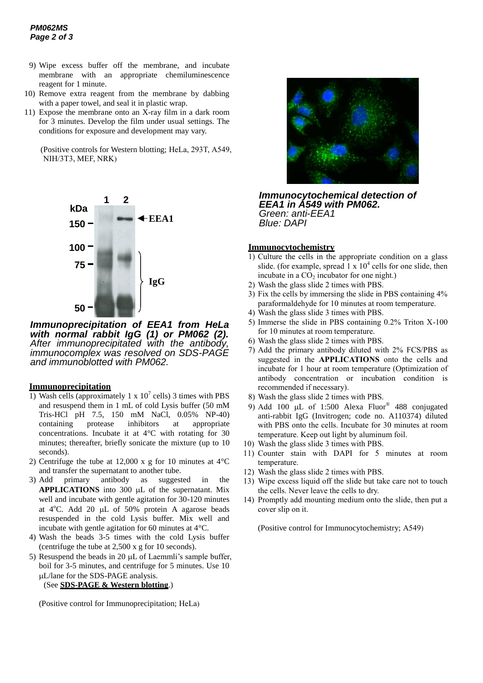- 9) Wipe excess buffer off the membrane, and incubate membrane with an appropriate chemiluminescence reagent for 1 minute.
- 10) Remove extra reagent from the membrane by dabbing with a paper towel, and seal it in plastic wrap.
- 11) Expose the membrane onto an X-ray film in a dark room for 3 minutes. Develop the film under usual settings. The conditions for exposure and development may vary.

(Positive controls for Western blotting; HeLa, 293T, A549, NIH/3T3, MEF, NRK)



*Immunoprecipitation of EEA1 from HeLa with normal rabbit IgG (1) or PM062 (2). After immunoprecipitated with the antibody, immunocomplex was resolved on SDS-PAGE and immunoblotted with PM062.*

#### **Immunoprecipitation**

- 1) Wash cells (approximately 1 x  $10<sup>7</sup>$  cells) 3 times with PBS and resuspend them in 1 mL of cold Lysis buffer (50 mM Tris-HCl pH 7.5, 150 mM NaCl, 0.05% NP-40)<br>containing protease inhibitors at appropriate containing protease inhibitors at appropriate concentrations. Incubate it at 4°C with rotating for 30 minutes; thereafter, briefly sonicate the mixture (up to 10 seconds).
- 2) Centrifuge the tube at 12,000 x g for 10 minutes at  $4^{\circ}$ C and transfer the supernatant to another tube.
- 3) Add primary antibody as suggested in the **APPLICATIONS** into 300 µL of the supernatant. Mix well and incubate with gentle agitation for 30-120 minutes at  $4^{\circ}$ C. Add 20 µL of 50% protein A agarose beads resuspended in the cold Lysis buffer. Mix well and incubate with gentle agitation for 60 minutes at 4°C.
- 4) Wash the beads 3-5 times with the cold Lysis buffer (centrifuge the tube at 2,500 x g for 10 seconds).
- 5) Resuspend the beads in 20  $\mu$ L of Laemmli's sample buffer, boil for 3-5 minutes, and centrifuge for 5 minutes. Use 10 L/lane for the SDS-PAGE analysis.

#### (See **SDS-PAGE & Western blotting**.)

(Positive control for Immunoprecipitation; HeLa)



*Immunocytochemical detection of EEA1 in A549 with PM062. Green: anti-EEA1 Blue: DAPI* 

#### **Immunocytochemistry**

- 1) Culture the cells in the appropriate condition on a glass slide. (for example, spread  $1 \times 10^4$  cells for one slide, then incubate in a  $CO<sub>2</sub>$  incubator for one night.)
- 2) Wash the glass slide 2 times with PBS.
- 3) Fix the cells by immersing the slide in PBS containing 4% paraformaldehyde for 10 minutes at room temperature.
- 4) Wash the glass slide 3 times with PBS.
- 5) Immerse the slide in PBS containing 0.2% Triton X-100 for 10 minutes at room temperature.
- 6) Wash the glass slide 2 times with PBS.
- 7) Add the primary antibody diluted with 2% FCS/PBS as suggested in the **APPLICATIONS** onto the cells and incubate for 1 hour at room temperature (Optimization of antibody concentration or incubation condition is recommended if necessary).
- 8) Wash the glass slide 2 times with PBS.
- 9) Add 100  $\mu$ L of 1:500 Alexa Fluor<sup>®</sup> 488 conjugated anti-rabbit IgG (Invitrogen; code no. A110374) diluted with PBS onto the cells. Incubate for 30 minutes at room temperature. Keep out light by aluminum foil.
- 10) Wash the glass slide 3 times with PBS.
- 11) Counter stain with DAPI for 5 minutes at room temperature.
- 12) Wash the glass slide 2 times with PBS.
- 13) Wipe excess liquid off the slide but take care not to touch the cells. Never leave the cells to dry.
- 14) Promptly add mounting medium onto the slide, then put a cover slip on it.

(Positive control for Immunocytochemistry; A549)